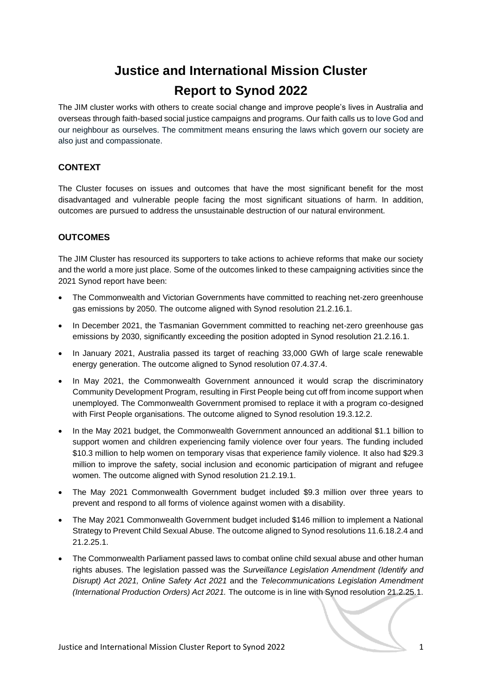# **Justice and International Mission Cluster Report to Synod 2022**

The JIM cluster works with others to create social change and improve people's lives in Australia and overseas through faith-based social justice campaigns and programs. Our faith calls us to love God and our neighbour as ourselves. The commitment means ensuring the laws which govern our society are also just and compassionate.

## **CONTEXT**

The Cluster focuses on issues and outcomes that have the most significant benefit for the most disadvantaged and vulnerable people facing the most significant situations of harm. In addition, outcomes are pursued to address the unsustainable destruction of our natural environment.

## **OUTCOMES**

The JIM Cluster has resourced its supporters to take actions to achieve reforms that make our society and the world a more just place. Some of the outcomes linked to these campaigning activities since the 2021 Synod report have been:

- The Commonwealth and Victorian Governments have committed to reaching net-zero greenhouse gas emissions by 2050. The outcome aligned with Synod resolution 21.2.16.1.
- In December 2021, the Tasmanian Government committed to reaching net-zero greenhouse gas emissions by 2030, significantly exceeding the position adopted in Synod resolution 21.2.16.1.
- In January 2021, Australia passed its target of reaching 33,000 GWh of large scale renewable energy generation. The outcome aligned to Synod resolution 07.4.37.4.
- In May 2021, the Commonwealth Government announced it would scrap the discriminatory Community Development Program, resulting in First People being cut off from income support when unemployed. The Commonwealth Government promised to replace it with a program co-designed with First People organisations. The outcome aligned to Synod resolution 19.3.12.2.
- In the May 2021 budget, the Commonwealth Government announced an additional \$1.1 billion to support women and children experiencing family violence over four years. The funding included \$10.3 million to help women on temporary visas that experience family violence. It also had \$29.3 million to improve the safety, social inclusion and economic participation of migrant and refugee women. The outcome aligned with Synod resolution 21.2.19.1.
- The May 2021 Commonwealth Government budget included \$9.3 million over three years to prevent and respond to all forms of violence against women with a disability.
- The May 2021 Commonwealth Government budget included \$146 million to implement a National Strategy to Prevent Child Sexual Abuse. The outcome aligned to Synod resolutions 11.6.18.2.4 and 21.2.25.1.
- The Commonwealth Parliament passed laws to combat online child sexual abuse and other human rights abuses. The legislation passed was the *Surveillance Legislation Amendment (Identify and Disrupt) Act 2021, Online Safety Act 2021* and the *Telecommunications Legislation Amendment (International Production Orders) Act 2021.* The outcome is in line with Synod resolution 21.2.25.1.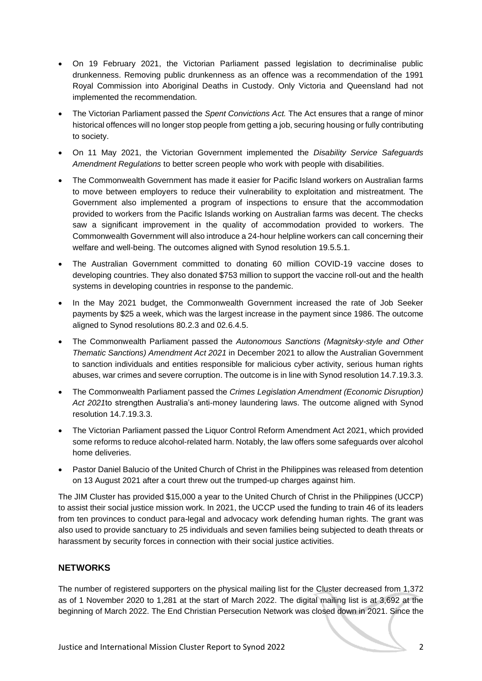- On 19 February 2021, the Victorian Parliament passed legislation to decriminalise public drunkenness. Removing public drunkenness as an offence was a recommendation of the 1991 Royal Commission into Aboriginal Deaths in Custody. Only Victoria and Queensland had not implemented the recommendation.
- The Victorian Parliament passed the *Spent Convictions Act.* The Act ensures that a range of minor historical offences will no longer stop people from getting a job, securing housing or fully contributing to society.
- On 11 May 2021, the Victorian Government implemented the *Disability Service Safeguards Amendment Regulations* to better screen people who work with people with disabilities.
- The Commonwealth Government has made it easier for Pacific Island workers on Australian farms to move between employers to reduce their vulnerability to exploitation and mistreatment. The Government also implemented a program of inspections to ensure that the accommodation provided to workers from the Pacific Islands working on Australian farms was decent. The checks saw a significant improvement in the quality of accommodation provided to workers. The Commonwealth Government will also introduce a 24-hour helpline workers can call concerning their welfare and well-being. The outcomes aligned with Synod resolution 19.5.5.1.
- The Australian Government committed to donating 60 million COVID-19 vaccine doses to developing countries. They also donated \$753 million to support the vaccine roll-out and the health systems in developing countries in response to the pandemic.
- In the May 2021 budget, the Commonwealth Government increased the rate of Job Seeker payments by \$25 a week, which was the largest increase in the payment since 1986. The outcome aligned to Synod resolutions 80.2.3 and 02.6.4.5.
- The Commonwealth Parliament passed the *Autonomous Sanctions (Magnitsky-style and Other Thematic Sanctions) Amendment Act 2021* in December 2021 to allow the Australian Government to sanction individuals and entities responsible for malicious cyber activity, serious human rights abuses, war crimes and severe corruption. The outcome is in line with Synod resolution 14.7.19.3.3.
- The Commonwealth Parliament passed the *Crimes Legislation Amendment (Economic Disruption) Act 2021*to strengthen Australia's anti-money laundering laws. The outcome aligned with Synod resolution 14.7.19.3.3.
- The Victorian Parliament passed the Liquor Control Reform Amendment Act 2021, which provided some reforms to reduce alcohol-related harm. Notably, the law offers some safeguards over alcohol home deliveries.
- Pastor Daniel Balucio of the United Church of Christ in the Philippines was released from detention on 13 August 2021 after a court threw out the trumped-up charges against him.

The JIM Cluster has provided \$15,000 a year to the United Church of Christ in the Philippines (UCCP) to assist their social justice mission work. In 2021, the UCCP used the funding to train 46 of its leaders from ten provinces to conduct para-legal and advocacy work defending human rights. The grant was also used to provide sanctuary to 25 individuals and seven families being subjected to death threats or harassment by security forces in connection with their social justice activities.

### **NETWORKS**

The number of registered supporters on the physical mailing list for the Cluster decreased from 1,372 as of 1 November 2020 to 1,281 at the start of March 2022. The digital mailing list is at 3,692 at the beginning of March 2022. The End Christian Persecution Network was closed down in 2021. Since the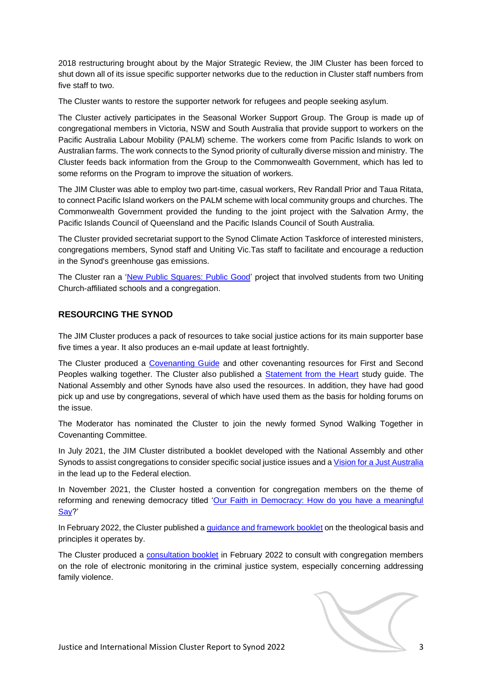2018 restructuring brought about by the Major Strategic Review, the JIM Cluster has been forced to shut down all of its issue specific supporter networks due to the reduction in Cluster staff numbers from five staff to two.

The Cluster wants to restore the supporter network for refugees and people seeking asylum.

The Cluster actively participates in the Seasonal Worker Support Group. The Group is made up of congregational members in Victoria, NSW and South Australia that provide support to workers on the Pacific Australia Labour Mobility (PALM) scheme. The workers come from Pacific Islands to work on Australian farms. The work connects to the Synod priority of culturally diverse mission and ministry. The Cluster feeds back information from the Group to the Commonwealth Government, which has led to some reforms on the Program to improve the situation of workers.

The JIM Cluster was able to employ two part-time, casual workers, Rev Randall Prior and Taua Ritata, to connect Pacific Island workers on the PALM scheme with local community groups and churches. The Commonwealth Government provided the funding to the joint project with the Salvation Army, the Pacific Islands Council of Queensland and the Pacific Islands Council of South Australia.

The Cluster provided secretariat support to the Synod Climate Action Taskforce of interested ministers, congregations members, Synod staff and Uniting Vic.Tas staff to facilitate and encourage a reduction in the Synod's greenhouse gas emissions.

The Cluster ran a ['New Public Squares: Public Good'](https://justact.org.au/wp-content/uploads/2021/03/Public-good-project-outline-March-2021.pdf) project that involved students from two Uniting Church-affiliated schools and a congregation.

## **RESOURCING THE SYNOD**

The JIM Cluster produces a pack of resources to take social justice actions for its main supporter base five times a year. It also produces an e-mail update at least fortnightly.

The Cluster produced a [Covenanting Guide](https://victas.uca.org.au/resources/covenanting/) and other covenanting resources for First and Second Peoples walking together. The Cluster also published a [Statement from the Heart](https://justact.org.au/first-people/actions/) study guide. The National Assembly and other Synods have also used the resources. In addition, they have had good pick up and use by congregations, several of which have used them as the basis for holding forums on the issue.

The Moderator has nominated the Cluster to join the newly formed Synod Walking Together in Covenanting Committee.

In July 2021, the JIM Cluster distributed a booklet developed with the National Assembly and other Synods to assist congregations to consider specific social justice issues and [a Vision for](https://uniting.church/a-vision-for-a-just-australia/) a Just Australia in the lead up to the Federal election.

In November 2021, the Cluster hosted a convention for congregation members on the theme of reforming and renewing democracy titled 'Our Faith in Democracy: How do you have a meaningful [Say?](https://justact.org.au/wp-content/uploads/2021/08/2021-JIM-Convention.pdf)'

In February 2022, the Cluster published a [guidance and framework](https://justact.org.au/wp-content/uploads/2021/11/WEB_-Guidance-framework-for-work-of-Justice-and-International-Mission-Cluster.pdf) booklet on the theological basis and principles it operates by.

The Cluster produced a [consultation booklet](https://justact.org.au/wp-content/uploads/2022/02/ElectonicMonitor-Consultation-Paper-Feb-2022.pdf) in February 2022 to consult with congregation members on the role of electronic monitoring in the criminal justice system, especially concerning addressing family violence.